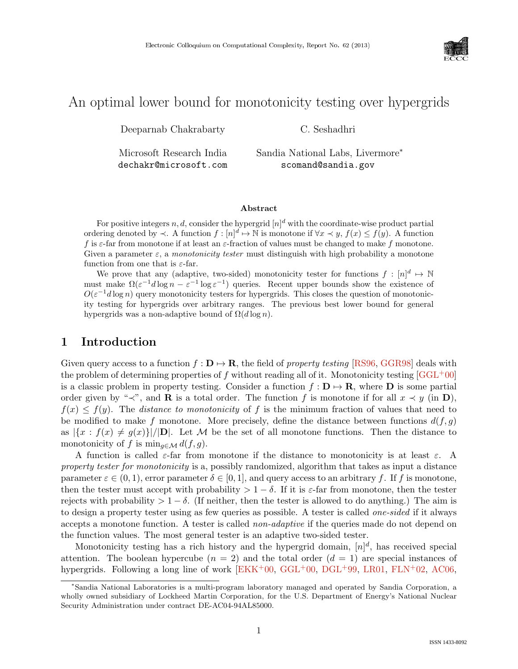

# An optimal lower bound for monotonicity testing over hypergrids

Deeparnab Chakrabarty

Microsoft Research India

dechakr@microsoft.com

Sandia National Labs, Livermore<sup>∗</sup> scomand@sandia.gov

C. Seshadhri

Abstract

For positive integers  $n, d$ , consider the hypergrid  $[n]^d$  with the coordinate-wise product partial ordering denoted by  $\prec$ . A function  $f: [n]^d \mapsto \mathbb{N}$  is monotone if  $\forall x \prec y$ ,  $f(x) \leq f(y)$ . A function f is  $\varepsilon$ -far from monotone if at least an  $\varepsilon$ -fraction of values must be changed to make f monotone. Given a parameter  $\varepsilon$ , a *monotonicity tester* must distinguish with high probability a monotone function from one that is  $\varepsilon$ -far.

We prove that any (adaptive, two-sided) monotonicity tester for functions  $f: [n]^d \mapsto \mathbb{N}$ must make  $\Omega(\varepsilon^{-1}d\log n - \varepsilon^{-1}\log \varepsilon^{-1})$  queries. Recent upper bounds show the existence of  $O(\varepsilon^{-1}d \log n)$  query monotonicity testers for hypergrids. This closes the question of monotonicity testing for hypergrids over arbitrary ranges. The previous best lower bound for general hypergrids was a non-adaptive bound of  $\Omega(d \log n)$ .

# 1 Introduction

Given query access to a function  $f : \mathbf{D} \to \mathbf{R}$ , the field of property testing [\[RS96,](#page--1-0) [GGR98\]](#page--1-1) deals with the problem of determining properties of f without reading all of it. Monotonicity testing  $[GGL^+00]$  $[GGL^+00]$ is a classic problem in property testing. Consider a function  $f: \mathbf{D} \mapsto \mathbf{R}$ , where  $\mathbf{D}$  is some partial order given by "≺", and **R** is a total order. The function f is monotone if for all  $x \prec y$  (in **D**),  $f(x) \leq f(y)$ . The *distance to monotonicity* of f is the minimum fraction of values that need to be modified to make f monotone. More precisely, define the distance between functions  $d(f, g)$ as  $|\{x : f(x) \neq g(x)\}|/|\mathbf{D}|$ . Let M be the set of all monotone functions. Then the distance to monotonicity of f is  $\min_{q \in \mathcal{M}} d(f, g)$ .

A function is called  $\varepsilon$ -far from monotone if the distance to monotonicity is at least  $\varepsilon$ . A property tester for monotonicity is a, possibly randomized, algorithm that takes as input a distance parameter  $\varepsilon \in (0,1)$ , error parameter  $\delta \in [0,1]$ , and query access to an arbitrary f. If f is monotone, then the tester must accept with probability  $> 1 - \delta$ . If it is  $\varepsilon$ -far from monotone, then the tester rejects with probability  $> 1 - \delta$ . (If neither, then the tester is allowed to do anything.) The aim is to design a property tester using as few queries as possible. A tester is called one-sided if it always accepts a monotone function. A tester is called non-adaptive if the queries made do not depend on the function values. The most general tester is an adaptive two-sided tester.

Monotonicity testing has a rich history and the hypergrid domain,  $[n]^d$ , has received special attention. The boolean hypercube  $(n = 2)$  and the total order  $(d = 1)$  are special instances of hypergrids. Following a long line of work  $[EKK^+00, GGL^+00, DGL^+99, LR01, FLN^+02, AC06,$  $[EKK^+00, GGL^+00, DGL^+99, LR01, FLN^+02, AC06,$  $[EKK^+00, GGL^+00, DGL^+99, LR01, FLN^+02, AC06,$  $[EKK^+00, GGL^+00, DGL^+99, LR01, FLN^+02, AC06,$  $[EKK^+00, GGL^+00, DGL^+99, LR01, FLN^+02, AC06,$  $[EKK^+00, GGL^+00, DGL^+99, LR01, FLN^+02, AC06,$  $[EKK^+00, GGL^+00, DGL^+99, LR01, FLN^+02, AC06,$  $[EKK^+00, GGL^+00, DGL^+99, LR01, FLN^+02, AC06,$  $[EKK^+00, GGL^+00, DGL^+99, LR01, FLN^+02, AC06,$  $[EKK^+00, GGL^+00, DGL^+99, LR01, FLN^+02, AC06,$  $[EKK^+00, GGL^+00, DGL^+99, LR01, FLN^+02, AC06,$ 

<sup>∗</sup>Sandia National Laboratories is a multi-program laboratory managed and operated by Sandia Corporation, a wholly owned subsidiary of Lockheed Martin Corporation, for the U.S. Department of Energy's National Nuclear Security Administration under contract DE-AC04-94AL85000.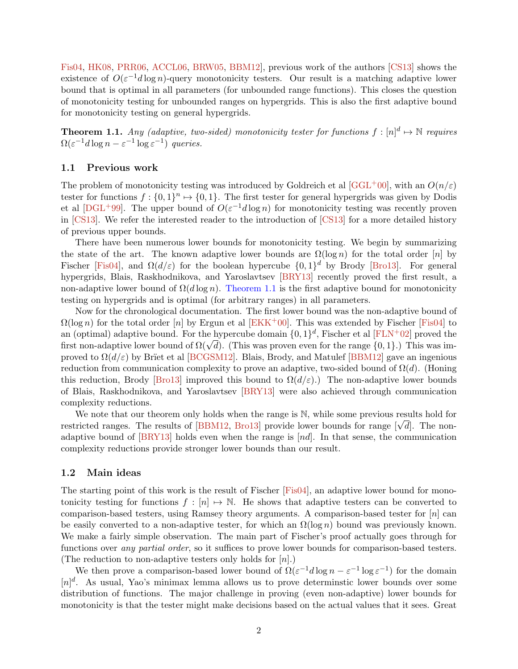<span id="page-1-1"></span>[Fis04,](#page--1-8) [HK08,](#page--1-9) [PRR06,](#page--1-10) [ACCL06,](#page-7-0) [BRW05,](#page-7-1) [BBM12\]](#page-7-2), previous work of the authors [\[CS13\]](#page-7-3) shows the existence of  $O(\varepsilon^{-1}d\log n)$ -query monotonicity testers. Our result is a matching adaptive lower bound that is optimal in all parameters (for unbounded range functions). This closes the question of monotonicity testing for unbounded ranges on hypergrids. This is also the first adaptive bound for monotonicity testing on general hypergrids.

<span id="page-1-0"></span>**Theorem 1.1.** Any (adaptive, two-sided) monotonicity tester for functions  $f: [n]^d \mapsto \mathbb{N}$  requires  $\Omega(\varepsilon^{-1}d\log n - \varepsilon^{-1}\log \varepsilon^{-1})$  queries.

### 1.1 Previous work

The problem of monotonicity testing was introduced by Goldreich et al [\[GGL](#page--1-2)+00], with an  $O(n/\varepsilon)$ tester for functions  $f: \{0,1\}^n \mapsto \{0,1\}$ . The first tester for general hypergrids was given by Dodis et al  $[{\rm DGL}^+99]$ . The upper bound of  $O(\varepsilon^{-1}d\log n)$  for monotonicity testing was recently proven in [\[CS13\]](#page-7-3). We refer the interested reader to the introduction of [\[CS13\]](#page-7-3) for a more detailed history of previous upper bounds.

There have been numerous lower bounds for monotonicity testing. We begin by summarizing the state of the art. The known adaptive lower bounds are  $\Omega(\log n)$  for the total order [n] by Fischer [\[Fis04\]](#page--1-8), and  $\Omega(d/\varepsilon)$  for the boolean hypercube  $\{0,1\}^d$  by Brody [\[Bro13\]](#page-7-5). For general hypergrids, Blais, Raskhodnikova, and Yaroslavtsev [\[BRY13\]](#page-7-6) recently proved the first result, a non-adaptive lower bound of  $\Omega(d \log n)$ . [Theorem 1.1](#page-1-0) is the first adaptive bound for monotonicity testing on hypergrids and is optimal (for arbitrary ranges) in all parameters.

Now for the chronological documentation. The first lower bound was the non-adaptive bound of  $\Omega(\log n)$  for the total order [n] by Ergun et al [\[EKK](#page--1-3)<sup>+</sup>00]. This was extended by Fischer [\[Fis04\]](#page--1-8) to an (optimal) adaptive bound. For the hypercube domain  $\{0,1\}^d$ , Fischer et al [\[FLN](#page--1-6)+02] proved the an (optimal) adaptive bound. For the hypercube domain  $\{0,1\}^n$ , Fischer et al [FLN+02] proved the first non-adaptive lower bound of  $\Omega(\sqrt{d})$ . (This was proven even for the range  $\{0,1\}$ .) This was improved to  $\Omega(d/\varepsilon)$  by Brïet et al [\[BCGSM12\]](#page-7-7). Blais, Brody, and Matulef [\[BBM12\]](#page-7-2) gave an ingenious reduction from communication complexity to prove an adaptive, two-sided bound of  $\Omega(d)$ . (Honing this reduction, Brody [\[Bro13\]](#page-7-5) improved this bound to  $\Omega(d/\varepsilon)$ . The non-adaptive lower bounds of Blais, Raskhodnikova, and Yaroslavtsev [\[BRY13\]](#page-7-6) were also achieved through communication complexity reductions.

We note that our theorem only holds when the range is  $\mathbb N$ , while some previous results hold for we note that our theorem only holds when the range is  $\mathbb{N}$ , while some previous results note for range [√ $\overline{d}$ ]. The non-<br>restricted ranges. The results of [\[BBM12,](#page-7-2) [Bro13\]](#page-7-5) provide lower bounds for range [√ $\overline{d}$ ]. adaptive bound of  $[BRY13]$  holds even when the range is  $[nd]$ . In that sense, the communication complexity reductions provide stronger lower bounds than our result.

### 1.2 Main ideas

The starting point of this work is the result of Fischer [\[Fis04\]](#page--1-8), an adaptive lower bound for monotonicity testing for functions  $f : [n] \mapsto \mathbb{N}$ . He shows that adaptive testers can be converted to comparison-based testers, using Ramsey theory arguments. A comparison-based tester for  $[n]$  can be easily converted to a non-adaptive tester, for which an  $\Omega(\log n)$  bound was previously known. We make a fairly simple observation. The main part of Fischer's proof actually goes through for functions over any partial order, so it suffices to prove lower bounds for comparison-based testers. (The reduction to non-adaptive testers only holds for  $[n]$ .)

We then prove a comparison-based lower bound of  $\Omega(\varepsilon^{-1}d\log n - \varepsilon^{-1}\log \varepsilon^{-1})$  for the domain  $[n]^d$ . As usual, Yao's minimax lemma allows us to prove determinstic lower bounds over some distribution of functions. The major challenge in proving (even non-adaptive) lower bounds for monotonicity is that the tester might make decisions based on the actual values that it sees. Great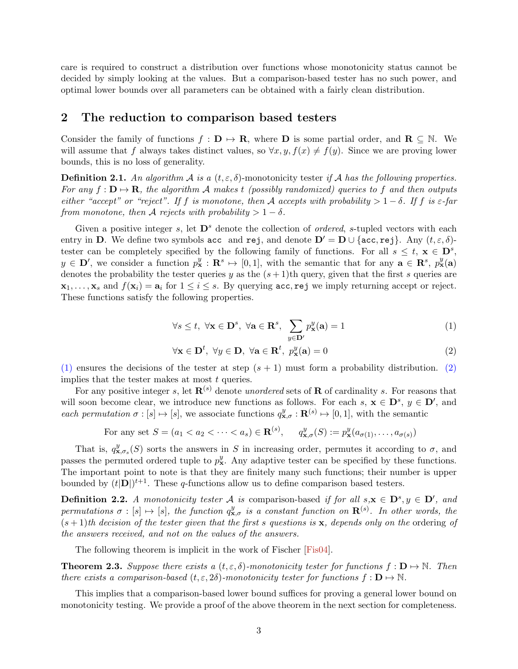care is required to construct a distribution over functions whose monotonicity status cannot be decided by simply looking at the values. But a comparison-based tester has no such power, and optimal lower bounds over all parameters can be obtained with a fairly clean distribution.

### 2 The reduction to comparison based testers

Consider the family of functions  $f : D \mapsto \mathbf{R}$ , where D is some partial order, and  $\mathbf{R} \subseteq \mathbb{N}$ . We will assume that f always takes distinct values, so  $\forall x, y, f(x) \neq f(y)$ . Since we are proving lower bounds, this is no loss of generality.

**Definition 2.1.** An algorithm A is a  $(t, \varepsilon, \delta)$ -monotonicity tester if A has the following properties. For any  $f: \mathbf{D} \mapsto \mathbf{R}$ , the algorithm A makes t (possibly randomized) queries to f and then outputs either "accept" or "reject". If f is monotone, then A accepts with probability  $> 1 - \delta$ . If f is  $\varepsilon$ -far from monotone, then A rejects with probability  $> 1 - \delta$ .

Given a positive integer s, let  $\mathbf{D}^s$  denote the collection of *ordered*, s-tupled vectors with each entry in D. We define two symbols acc and rej, and denote  $D' = D \cup \{\text{acc}, \text{rej}\}\$ . Any  $(t, \varepsilon, \delta)$ tester can be completely specified by the following family of functions. For all  $s \leq t, \mathbf{x} \in \mathbf{D}^s$ ,  $y \in \mathbf{D}'$ , we consider a function  $p_{\mathbf{x}}^y : \mathbf{R}^s \mapsto [0,1]$ , with the semantic that for any  $\mathbf{a} \in \mathbf{R}^s$ ,  $p_{\mathbf{x}}^y(\mathbf{a})$ denotes the probability the tester queries y as the  $(s + 1)$ th query, given that the first s queries are  $x_1, \ldots, x_s$  and  $f(x_i) = a_i$  for  $1 \le i \le s$ . By querying acc, rej we imply returning accept or reject. These functions satisfy the following properties.

<span id="page-2-0"></span>
$$
\forall s \le t, \ \forall \mathbf{x} \in \mathbf{D}^s, \ \forall \mathbf{a} \in \mathbf{R}^s, \ \sum_{y \in \mathbf{D}'} p_{\mathbf{x}}^y(\mathbf{a}) = 1 \tag{1}
$$

<span id="page-2-1"></span>
$$
\forall \mathbf{x} \in \mathbf{D}^t, \ \forall y \in \mathbf{D}, \ \forall \mathbf{a} \in \mathbf{R}^t, \ p_{\mathbf{x}}^y(\mathbf{a}) = 0 \tag{2}
$$

[\(1\)](#page-2-0) ensures the decisions of the tester at step  $(s + 1)$  must form a probability distribution. [\(2\)](#page-2-1) implies that the tester makes at most  $t$  queries.

For any positive integer s, let  $\mathbf{R}^{(s)}$  denote unordered sets of **R** of cardinality s. For reasons that will soon become clear, we introduce new functions as follows. For each  $s, x \in D^s, y \in D'$ , and each permutation  $\sigma : [s] \mapsto [s]$ , we associate functions  $q_{\mathbf{x},\sigma}^y : \mathbf{R}^{(s)} \mapsto [0,1]$ , with the semantic

For any set 
$$
S = (a_1 < a_2 < \cdots < a_s) \in \mathbf{R}^{(s)}, \quad q_{\mathbf{x},\sigma}^y(S) := p_{\mathbf{x}}^y(a_{\sigma(1)},\ldots,a_{\sigma(s)})
$$

That is,  $q_{\mathbf{x},\sigma_s}^y(S)$  sorts the answers in S in increasing order, permutes it according to  $\sigma$ , and passes the permuted ordered tuple to  $p_x^y$ . Any adaptive tester can be specified by these functions. The important point to note is that they are finitely many such functions; their number is upper bounded by  $(t|\mathbf{D}|)^{t+1}$ . These q-functions allow us to define comparison based testers.

**Definition 2.2.** A monotonicity tester A is comparison-based if for all  $s, x \in D^s, y \in D'$ , and permutations  $\sigma : [s] \mapsto [s]$ , the function  $q_{\mathbf{x},\sigma}^y$  is a constant function on  $\mathbf{R}^{(s)}$ . In other words, the  $(s + 1)$ th decision of the tester given that the first s questions is x, depends only on the ordering of the answers received, and not on the values of the answers.

The following theorem is implicit in the work of Fischer [\[Fis04\]](#page--1-8).

<span id="page-2-2"></span>**Theorem 2.3.** Suppose there exists a  $(t, \varepsilon, \delta)$ -monotonicity tester for functions  $f : D \to \mathbb{N}$ . Then there exists a comparison-based  $(t, \varepsilon, 2\delta)$ -monotonicity tester for functions  $f : \mathbf{D} \mapsto \mathbb{N}$ .

This implies that a comparison-based lower bound suffices for proving a general lower bound on monotonicity testing. We provide a proof of the above theorem in the next section for completeness.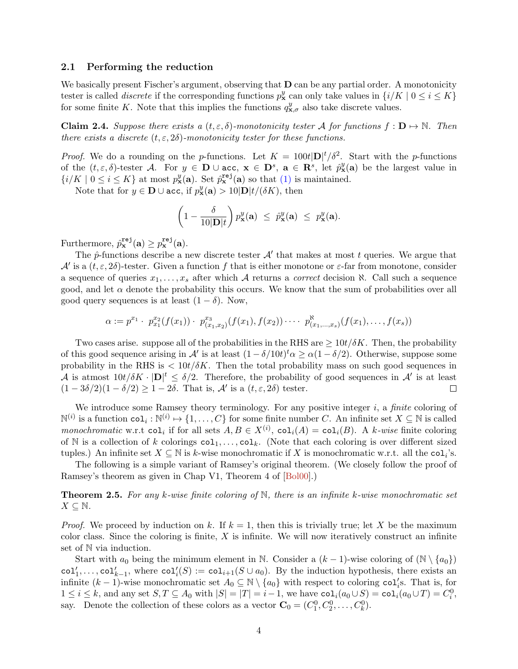### <span id="page-3-2"></span>2.1 Performing the reduction

We basically present Fischer's argument, observing that **D** can be any partial order. A monotonicity tester is called *discrete* if the corresponding functions  $p_x^y$  can only take values in  $\{i/K \mid 0 \le i \le K\}$ for some finite K. Note that this implies the functions  $q_{\mathbf{x},\sigma}^y$  also take discrete values.

<span id="page-3-0"></span>**Claim 2.4.** Suppose there exists a  $(t, \varepsilon, \delta)$ -monotonicity tester A for functions  $f : D \to \mathbb{N}$ . Then there exists a discrete  $(t, \varepsilon, 2\delta)$ -monotonicity tester for these functions.

*Proof.* We do a rounding on the p-functions. Let  $K = 100t|\mathbf{D}|^t/\delta^2$ . Start with the p-functions of the  $(t,\varepsilon,\delta)$ -tester A. For  $y \in \mathbf{D} \cup \texttt{acc}, \mathbf{x} \in \mathbf{D}^s, \mathbf{a} \in \mathbf{R}^s$ , let  $\hat{p}_{\mathbf{x}}^y(\mathbf{a})$  be the largest value in  $\{i/K \mid 0 \leq i \leq K\}$  at most  $p_{\mathbf{x}}^y(\mathbf{a})$ . Set  $\hat{p}_{\mathbf{x}}^{\text{rej}}(\mathbf{a})$  so that [\(1\)](#page-2-0) is maintained.

Note that for  $y \in \mathbf{D} \cup \text{acc}$ , if  $p_{\mathbf{x}}^y(\mathbf{a}) > 10|\mathbf{D}|t/(\delta K)$ , then

$$
\left(1-\frac{\delta}{10|\mathbf{D}|t}\right)p_{\mathbf{x}}^y(\mathbf{a}) \ \leq \ \hat{p}_{\mathbf{x}}^y(\mathbf{a}) \ \leq \ p_{\mathbf{x}}^y(\mathbf{a}).
$$

Furthermore,  $\hat{p}_{\mathbf{x}}^{\text{rej}}(\mathbf{a}) \geq p_{\mathbf{x}}^{\text{rej}}(\mathbf{a})$ .

The  $\hat{p}$ -functions describe a new discrete tester  $\mathcal{A}'$  that makes at most t queries. We argue that  $\mathcal{A}'$  is a  $(t, \varepsilon, 2\delta)$ -tester. Given a function f that is either monotone or  $\varepsilon$ -far from monotone, consider a sequence of queries  $x_1, \ldots, x_s$  after which A returns a *correct* decision  $\aleph$ . Call such a sequence good, and let  $\alpha$  denote the probability this occurs. We know that the sum of probabilities over all good query sequences is at least  $(1 - \delta)$ . Now,

$$
\alpha := p^{x_1} \cdot p^{x_2}_{x_1}(f(x_1)) \cdot p^{x_3}_{(x_1,x_2)}(f(x_1),f(x_2)) \cdot \cdots \cdot p^{x_n}_{(x_1,\ldots,x_s)}(f(x_1),\ldots,f(x_s))
$$

Two cases arise. suppose all of the probabilities in the RHS are  $\geq 10t/\delta K$ . Then, the probability of this good sequence arising in A' is at least  $(1 - \delta/10t)^t \alpha \ge \alpha(1 - \delta/2)$ . Otherwise, suppose some probability in the RHS is  $\langle 10t/\delta K\rangle$ . Then the total probability mass on such good sequences in A is atmost  $10t/\delta K \cdot |\mathbf{D}|^t \leq \delta/2$ . Therefore, the probability of good sequences in A' is at least  $(1-3\delta/2)(1-\delta/2) \geq 1-2\delta$ . That is,  $\mathcal{A}'$  is a  $(t,\varepsilon,2\delta)$  tester.  $\Box$ 

We introduce some Ramsey theory terminology. For any positive integer  $i$ , a finite coloring of  $\mathbb{N}^{(i)}$  is a function  $\mathtt{col}_i : \mathbb{N}^{(i)} \mapsto \{1,\ldots,C\}$  for some finite number C. An infinite set  $X \subseteq \mathbb{N}$  is called monochromatic w.r.t col<sub>i</sub> if for all sets  $A, B \in X^{(i)}$ , col<sub>i</sub> $(A) = col<sub>i</sub>(B)$ . A k-wise finite coloring of N is a collection of k colorings  $col_1, \ldots, col_k$ . (Note that each coloring is over different sized tuples.) An infinite set  $X \subseteq \mathbb{N}$  is k-wise monochromatic if X is monochromatic w.r.t. all the  $\text{col}_i$ 's.

The following is a simple variant of Ramsey's original theorem. (We closely follow the proof of Ramsey's theorem as given in Chap V1, Theorem 4 of [\[Bol00\]](#page-7-8).)

<span id="page-3-1"></span>**Theorem 2.5.** For any k-wise finite coloring of  $\mathbb{N}$ , there is an infinite k-wise monochromatic set  $X \subseteq \mathbb{N}$ .

*Proof.* We proceed by induction on k. If  $k = 1$ , then this is trivially true; let X be the maximum color class. Since the coloring is finite,  $X$  is infinite. We will now iteratively construct an infinite set of  $\mathbb N$  via induction.

Start with  $a_0$  being the minimum element in N. Consider a  $(k-1)$ -wise coloring of  $(\mathbb{N} \setminus \{a_0\})$  $col'_{1}, \ldots, col'_{k-1}$ , where  $col'_{i}(S) := col_{i+1}(S \cup a_{0})$ . By the induction hypothesis, there exists an infinite  $(k-1)$ -wise monochromatic set  $A_0 \subseteq \mathbb{N} \setminus \{a_0\}$  with respect to coloring col'<sub>i</sub>s. That is, for  $1 \leq i \leq k$ , and any set  $S, T \subseteq A_0$  with  $|S| = |T| = i - 1$ , we have  $\text{col}_i(a_0 \cup S) = \text{col}_i(a_0 \cup T) = C_i^0$ , say. Denote the collection of these colors as a vector  $\mathbf{C}_0 = (C_1^0, C_2^0, \dots, C_k^0)$ .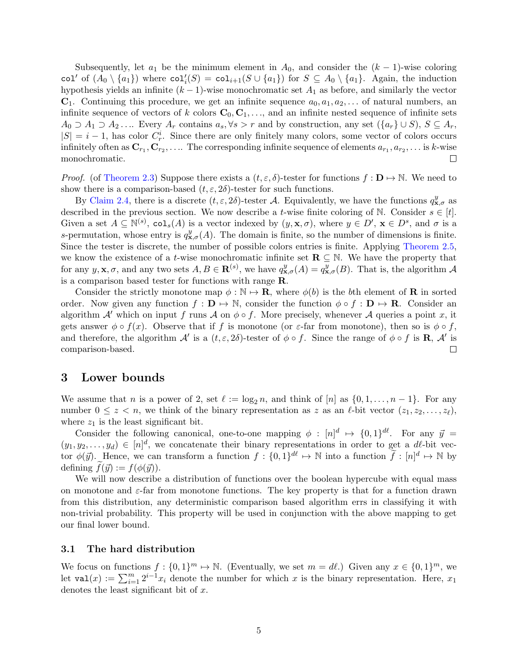Subsequently, let  $a_1$  be the minimum element in  $A_0$ , and consider the  $(k-1)$ -wise coloring col<sup>'</sup> of  $(A_0 \setminus \{a_1\})$  where  $col_i(S) = col_{i+1}(S \cup \{a_1\})$  for  $S \subseteq A_0 \setminus \{a_1\}$ . Again, the induction hypothesis yields an infinite  $(k - 1)$ -wise monochromatic set  $A_1$  as before, and similarly the vector  $\mathbf{C}_1$ . Continuing this procedure, we get an infinite sequence  $a_0, a_1, a_2, \ldots$  of natural numbers, an infinite sequence of vectors of k colors  $\mathbf{C}_0, \mathbf{C}_1, \ldots$ , and an infinite nested sequence of infinite sets  $A_0 \supset A_1 \supset A_2 \ldots$  Every  $A_r$  contains  $a_s, \forall s > r$  and by construction, any set  $(\{a_r\} \cup S), S \subseteq A_r$ ,  $|S| = i - 1$ , has color  $C_r^i$ . Since there are only finitely many colors, some vector of colors occurs infinitely often as  ${\bf C}_{r_1}, {\bf C}_{r_2}, \ldots$  The corresponding infinite sequence of elements  $a_{r_1}, a_{r_2}, \ldots$  is k-wise monochromatic.  $\Box$ 

*Proof.* (of [Theorem 2.3\)](#page-2-2) Suppose there exists a  $(t, \varepsilon, \delta)$ -tester for functions  $f : \mathbf{D} \to \mathbb{N}$ . We need to show there is a comparison-based  $(t, \varepsilon, 2\delta)$ -tester for such functions.

By [Claim 2.4,](#page-3-0) there is a discrete  $(t, \varepsilon, 2\delta)$ -tester A. Equivalently, we have the functions  $q_{\mathbf{x},\sigma}^y$  as described in the previous section. We now describe a t-wise finite coloring of N. Consider  $s \in [t]$ . Given a set  $A \subseteq \mathbb{N}^{(s)}$ , col<sub>s</sub>(A) is a vector indexed by  $(y, \mathbf{x}, \sigma)$ , where  $y \in D'$ ,  $\mathbf{x} \in D^s$ , and  $\sigma$  is a s-permutation, whose entry is  $q_{\mathbf{x},\sigma}^{y}(A)$ . The domain is finite, so the number of dimensions is finite. Since the tester is discrete, the number of possible colors entries is finite. Applying [Theorem 2.5,](#page-3-1) we know the existence of a t-wise monochromatic infinite set  $\mathbf{R} \subseteq \mathbb{N}$ . We have the property that for any  $y, \mathbf{x}, \sigma$ , and any two sets  $A, B \in \mathbf{R}^{(s)}$ , we have  $q_{\mathbf{x}, \sigma}^y(A) = q_{\mathbf{x}, \sigma}^y(B)$ . That is, the algorithm  $\mathcal A$ is a comparison based tester for functions with range R.

Consider the strictly monotone map  $\phi : \mathbb{N} \to \mathbb{R}$ , where  $\phi(b)$  is the bth element of **R** in sorted order. Now given any function  $f : \mathbf{D} \mapsto \mathbb{N}$ , consider the function  $\phi \circ f : \mathbf{D} \mapsto \mathbf{R}$ . Consider an algorithm A' which on input f runs A on  $\phi \circ f$ . More precisely, whenever A queries a point x, it gets answer  $\phi \circ f(x)$ . Observe that if f is monotone (or  $\varepsilon$ -far from monotone), then so is  $\phi \circ f$ , and therefore, the algorithm  $\mathcal{A}'$  is a  $(t, \varepsilon, 2\delta)$ -tester of  $\phi \circ f$ . Since the range of  $\phi \circ f$  is **R**,  $\mathcal{A}'$  is comparison-based.  $\Box$ 

### 3 Lower bounds

We assume that n is a power of 2, set  $\ell := \log_2 n$ , and think of  $[n]$  as  $\{0, 1, \ldots, n-1\}$ . For any number  $0 \leq z \leq n$ , we think of the binary representation as z as an  $\ell$ -bit vector  $(z_1, z_2, \ldots, z_\ell)$ , where  $z_1$  is the least significant bit.

Consider the following canonical, one-to-one mapping  $\phi : [n]^d \mapsto \{0,1\}^{d\ell}$ . For any  $\vec{y} =$  $(y_1, y_2, \ldots, y_d) \in [n]^d$ , we concatenate their binary representations in order to get a dl-bit vector  $\phi(\vec{y})$ . Hence, we can transform a function  $f: \{0,1\}^{d\ell} \mapsto \mathbb{N}$  into a function  $\tilde{f}: [n]^d \mapsto \mathbb{N}$  by defining  $f(\vec{y}) := f(\phi(\vec{y})).$ 

We will now describe a distribution of functions over the boolean hypercube with equal mass on monotone and  $\varepsilon$ -far from monotone functions. The key property is that for a function drawn from this distribution, any deterministic comparison based algorithm errs in classifying it with non-trivial probability. This property will be used in conjunction with the above mapping to get our final lower bound.

#### 3.1 The hard distribution

We focus on functions  $f: \{0,1\}^m \mapsto \mathbb{N}$ . (Eventually, we set  $m = d\ell$ .) Given any  $x \in \{0,1\}^m$ , we let  $\text{val}(x) := \sum_{i=1}^m 2^{i-1} x_i$  denote the number for which x is the binary representation. Here,  $x_1$ denotes the least significant bit of x.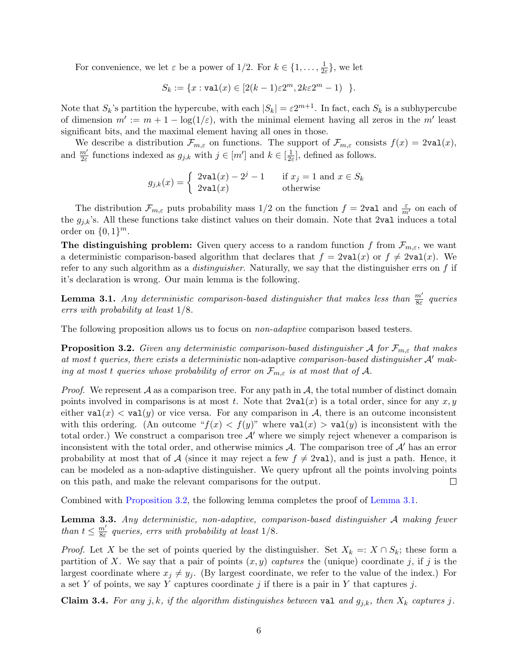For convenience, we let  $\varepsilon$  be a power of 1/2. For  $k \in \{1, \ldots, \frac{1}{2\epsilon}\}$  $\frac{1}{2\varepsilon}\},$  we let

$$
S_k := \{x : \text{val}(x) \in [2(k-1)\varepsilon 2^m, 2k\varepsilon 2^m - 1) \}.
$$

Note that  $S_k$ 's partition the hypercube, with each  $|S_k| = \varepsilon 2^{m+1}$ . In fact, each  $S_k$  is a subhypercube of dimension  $m' := m + 1 - \log(1/\varepsilon)$ , with the minimal element having all zeros in the m' least significant bits, and the maximal element having all ones in those.

We describe a distribution  $\mathcal{F}_{m,\varepsilon}$  on functions. The support of  $\mathcal{F}_{m,\varepsilon}$  consists  $f(x) = 2\text{val}(x)$ , and  $\frac{m'}{2\varepsilon}$  functions indexed as  $g_{j,k}$  with  $j \in [m']$  and  $k \in [\frac{1}{2\varepsilon}]$  $\frac{1}{2\varepsilon}$ , defined as follows.

$$
g_{j,k}(x) = \begin{cases} 2\text{val}(x) - 2^j - 1 & \text{if } x_j = 1 \text{ and } x \in S_k \\ 2\text{val}(x) & \text{otherwise} \end{cases}
$$

The distribution  $\mathcal{F}_{m,\varepsilon}$  puts probability mass  $1/2$  on the function  $f = 2$ val and  $\frac{\varepsilon}{m'}$  on each of the  $g_{j,k}$ 's. All these functions take distinct values on their domain. Note that 2val induces a total order on  $\{0,1\}^m$ .

The distinguishing problem: Given query access to a random function f from  $\mathcal{F}_{m,\varepsilon}$ , we want a deterministic comparison-based algorithm that declares that  $f = 2\text{val}(x)$  or  $f \neq 2\text{val}(x)$ . We refer to any such algorithm as a *distinguisher*. Naturally, we say that the distinguisher errs on  $f$  if it's declaration is wrong. Our main lemma is the following.

<span id="page-5-1"></span>**Lemma 3.1.** Any deterministic comparison-based distinguisher that makes less than  $\frac{m'}{8\varepsilon}$  queries errs with probability at least 1/8.

The following proposition allows us to focus on *non-adaptive* comparison based testers.

<span id="page-5-0"></span>**Proposition 3.2.** Given any deterministic comparison-based distinguisher A for  $\mathcal{F}_{m,\varepsilon}$  that makes at most t queries, there exists a deterministic non-adaptive comparison-based distinguisher  $A'$  making at most t queries whose probability of error on  $\mathcal{F}_{m,\varepsilon}$  is at most that of A.

*Proof.* We represent  $A$  as a comparison tree. For any path in  $A$ , the total number of distinct domain points involved in comparisons is at most t. Note that  $2\text{val}(x)$  is a total order, since for any  $x, y$ either  $val(x) < val(y)$  or vice versa. For any comparison in A, there is an outcome inconsistent with this ordering. (An outcome " $f(x) < f(y)$ " where  $\text{val}(x) > \text{val}(y)$  is inconsistent with the total order.) We construct a comparison tree  $\mathcal{A}'$  where we simply reject whenever a comparison is inconsistent with the total order, and otherwise mimics  $A$ . The comparison tree of  $A'$  has an error probability at most that of A (since it may reject a few  $f \neq 2$ val), and is just a path. Hence, it can be modeled as a non-adaptive distinguisher. We query upfront all the points involving points on this path, and make the relevant comparisons for the output.  $\Box$ 

Combined with [Proposition 3.2,](#page-5-0) the following lemma completes the proof of [Lemma 3.1.](#page-5-1)

<span id="page-5-2"></span>Lemma 3.3. Any deterministic, non-adaptive, comparison-based distinguisher A making fewer than  $t \leq \frac{m'}{8\varepsilon}$  $\frac{m'}{8\varepsilon}$  queries, errs with probability at least  $1/8$ .

*Proof.* Let X be the set of points queried by the distinguisher. Set  $X_k =: X \cap S_k$ ; these form a partition of X. We say that a pair of points  $(x, y)$  captures the (unique) coordinate j, if j is the largest coordinate where  $x_j \neq y_j$ . (By largest coordinate, we refer to the value of the index.) For a set Y of points, we say Y captures coordinate j if there is a pair in Y that captures j.

Claim 3.4. For any j, k, if the algorithm distinguishes between val and  $g_{j,k}$ , then  $X_k$  captures j.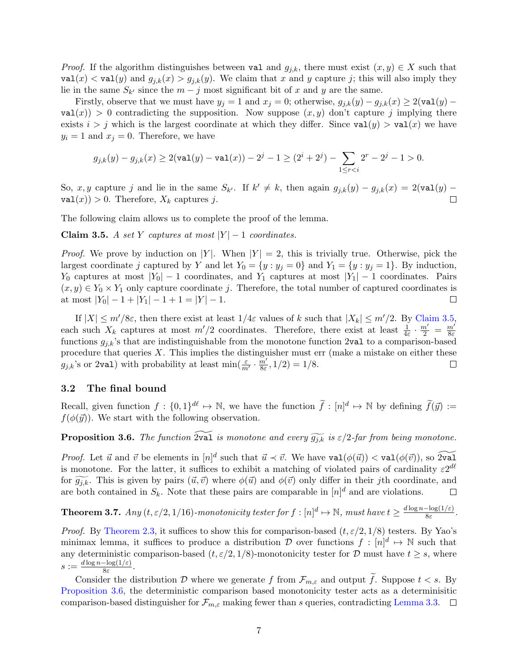*Proof.* If the algorithm distinguishes between val and  $g_{j,k}$ , there must exist  $(x, y) \in X$  such that  $\text{val}(x) < \text{val}(y)$  and  $g_{j,k}(x) > g_{j,k}(y)$ . We claim that x and y capture j; this will also imply they lie in the same  $S_{k'}$  since the  $m - j$  most significant bit of x and y are the same.

Firstly, observe that we must have  $y_j = 1$  and  $x_j = 0$ ; otherwise,  $g_{j,k}(y) - g_{j,k}(x) \ge 2(\text{val}(y)$  $val(x) > 0$  contradicting the supposition. Now suppose  $(x, y)$  don't capture j implying there exists  $i > j$  which is the largest coordinate at which they differ. Since  $val(y) > val(x)$  we have  $y_i = 1$  and  $x_j = 0$ . Therefore, we have

$$
g_{j,k}(y)-g_{j,k}(x)\geq 2(\text{val}(y)-\text{val}(x))-2^j-1\geq (2^i+2^j)-\sum_{1\leq r0.
$$

So, x, y capture j and lie in the same  $S_{k'}$ . If  $k' \neq k$ , then again  $g_{j,k}(y) - g_{j,k}(x) = 2(\text{val}(y) \text{val}(x) > 0$ . Therefore,  $X_k$  captures j.  $\Box$ 

The following claim allows us to complete the proof of the lemma.

<span id="page-6-0"></span>Claim 3.5. A set Y captures at most  $|Y| - 1$  coordinates.

*Proof.* We prove by induction on |Y|. When  $|Y| = 2$ , this is trivially true. Otherwise, pick the largest coordinate j captured by Y and let  $Y_0 = \{y : y_j = 0\}$  and  $Y_1 = \{y : y_j = 1\}$ . By induction,  $Y_0$  captures at most  $|Y_0| - 1$  coordinates, and  $Y_1$  captures at most  $|Y_1| - 1$  coordinates. Pairs  $(x, y) \in Y_0 \times Y_1$  only capture coordinate j. Therefore, the total number of captured coordinates is at most  $|Y_0| - 1 + |Y_1| - 1 + 1 = |Y| - 1$ .  $\Box$ 

If  $|X| \le m'/8\varepsilon$ , then there exist at least  $1/4\varepsilon$  values of k such that  $|X_k| \le m'/2$ . By [Claim 3.5,](#page-6-0) each such  $X_k$  captures at most  $m'/2$  coordinates. Therefore, there exist at least  $\frac{1}{4\varepsilon} \cdot \frac{m'}{2} = \frac{m'}{8\varepsilon}$ 8ε functions  $g_{j,k}$ 's that are indistinguishable from the monotone function 2val to a comparison-based procedure that queries  $X$ . This implies the distinguisher must err (make a mistake on either these  $g_{j,k}$ 's or 2val) with probability at least min $\left(\frac{\varepsilon}{m'}\cdot \frac{m'}{8\varepsilon}\right)$  $\frac{m'}{8\varepsilon}$ , 1/2) = 1/8.  $\Box$ 

### 3.2 The final bound

Recall, given function  $f : \{0,1\}^{d\ell} \to \mathbb{N}$ , we have the function  $\tilde{f} : [n]^d \mapsto \mathbb{N}$  by defining  $\tilde{f}(\vec{y}) :=$  $f(\phi(\vec{y}))$ . We start with the following observation.

<span id="page-6-1"></span>**Proposition 3.6.** The function  $\widetilde{2\mathbf{val}}$  is monotone and every  $\widetilde{g_{jk}}$  is  $\varepsilon/2$ -far from being monotone.

*Proof.* Let  $\vec{u}$  and  $\vec{v}$  be elements in  $[n]^d$  such that  $\vec{u} \prec \vec{v}$ . We have  $\text{val}(\phi(\vec{u})) < \text{val}(\phi(\vec{v}))$ , so  $2\tilde{\text{val}}$ is monotone. For the latter, it suffices to exhibit a matching of violated pairs of cardinality  $\varepsilon 2^{d\ell}$ for  $\widetilde{g_{j,k}}$ . This is given by pairs  $(\vec{u}, \vec{v})$  where  $\phi(\vec{u})$  and  $\phi(\vec{v})$  only differ in their jth coordinate, and are both contained in  $S_k$ . Note that these pairs are comparable in  $[n]^d$  and are violations. are both contained in  $S_k$ . Note that these pairs are comparable in  $[n]^d$  and are violations.

**Theorem 3.7.** Any  $(t, \varepsilon/2, 1/16)$ -monotonicity tester for  $f : [n]^d \mapsto \mathbb{N}$ , must have  $t \geq \frac{d \log n - \log(1/\varepsilon)}{8\varepsilon}$  $\frac{-\log(1/\varepsilon)}{8\varepsilon}$ .

*Proof.* By [Theorem 2.3,](#page-2-2) it suffices to show this for comparison-based  $(t, \varepsilon/2, 1/8)$  testers. By Yao's minimax lemma, it suffices to produce a distribution D over functions  $f: [n]^d \mapsto \mathbb{N}$  such that any deterministic comparison-based  $(t, \varepsilon/2, 1/8)$ -monotonicity tester for D must have  $t \geq s$ , where  $s := \frac{d \log n - \log(1/\varepsilon)}{8\varepsilon}$  $\frac{-\log(1/\varepsilon)}{8\varepsilon}$ .

Consider the distribution D where we generate f from  $\mathcal{F}_{m,\varepsilon}$  and output  $\tilde{f}$ . Suppose  $t < s$ . By [Proposition 3.6,](#page-6-1) the deterministic comparison based monotonicity tester acts as a determinisitic comparison-based distinguisher for  $\mathcal{F}_{m,\varepsilon}$  making fewer than s queries, contradicting [Lemma 3.3.](#page-5-2)  $\square$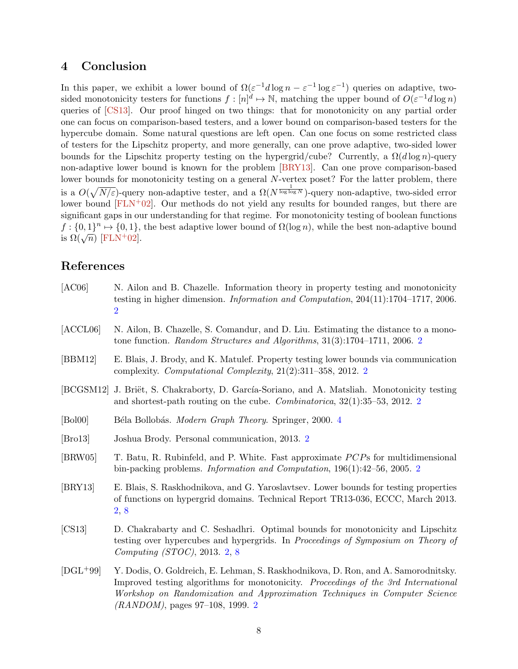# <span id="page-7-9"></span>4 Conclusion

In this paper, we exhibit a lower bound of  $\Omega(\varepsilon^{-1}d\log n - \varepsilon^{-1}\log \varepsilon^{-1})$  queries on adaptive, twosided monotonicity testers for functions  $f: [n]^d \mapsto \mathbb{N}$ , matching the upper bound of  $O(\varepsilon^{-1}d \log n)$ queries of [\[CS13\]](#page-7-3). Our proof hinged on two things: that for monotonicity on any partial order one can focus on comparison-based testers, and a lower bound on comparison-based testers for the hypercube domain. Some natural questions are left open. Can one focus on some restricted class of testers for the Lipschitz property, and more generally, can one prove adaptive, two-sided lower bounds for the Lipschitz property testing on the hypergrid/cube? Currently, a  $\Omega(d \log n)$ -query non-adaptive lower bound is known for the problem [\[BRY13\]](#page-7-6). Can one prove comparison-based lower bounds for monotonicity testing on a general N-vertex poset? For the latter problem, there is a  $O(\sqrt{N/\varepsilon})$ -query non-adaptive tester, and a  $\Omega(N^{\frac{1}{\log \log N}})$ -query non-adaptive, two-sided error lower bound  $[FLN+02]$  $[FLN+02]$ . Our methods do not yield any results for bounded ranges, but there are significant gaps in our understanding for that regime. For monotonicity testing of boolean functions  $f: \{0,1\}^n \mapsto \{0,1\}$ , the best adaptive lower bound of  $\Omega(\log n)$ , while the best non-adaptive bound  $j \cdot 10, 1j \rightarrow 10, 1j,$ <br>is  $\Omega(\sqrt{n})$  [\[FLN](#page--1-6)<sup>+</sup>02].

# References

- [AC06] N. Ailon and B. Chazelle. Information theory in property testing and monotonicity testing in higher dimension. Information and Computation, 204(11):1704–1717, 2006. [2](#page-1-1)
- <span id="page-7-0"></span>[ACCL06] N. Ailon, B. Chazelle, S. Comandur, and D. Liu. Estimating the distance to a monotone function. Random Structures and Algorithms, 31(3):1704–1711, 2006. [2](#page-1-1)
- <span id="page-7-2"></span>[BBM12] E. Blais, J. Brody, and K. Matulef. Property testing lower bounds via communication complexity. Computational Complexity, 21(2):311–358, 2012. [2](#page-1-1)
- <span id="page-7-7"></span>[BCGSM12] J. Briët, S. Chakraborty, D. García-Soriano, and A. Matsliah. Monotonicity testing and shortest-path routing on the cube. Combinatorica, 32(1):35–53, 2012. [2](#page-1-1)
- <span id="page-7-8"></span>[Bol00] Béla Bollobás. Modern Graph Theory. Springer, 2000. [4](#page-3-2)
- <span id="page-7-5"></span>[Bro13] Joshua Brody. Personal communication, 2013. [2](#page-1-1)
- <span id="page-7-1"></span>[BRW05] T. Batu, R. Rubinfeld, and P. White. Fast approximate *PCP*s for multidimensional bin-packing problems. Information and Computation, 196(1):42–56, 2005. [2](#page-1-1)
- <span id="page-7-6"></span>[BRY13] E. Blais, S. Raskhodnikova, and G. Yaroslavtsev. Lower bounds for testing properties of functions on hypergrid domains. Technical Report TR13-036, ECCC, March 2013. [2,](#page-1-1) [8](#page-7-9)
- <span id="page-7-3"></span>[CS13] D. Chakrabarty and C. Seshadhri. Optimal bounds for monotonicity and Lipschitz testing over hypercubes and hypergrids. In Proceedings of Symposium on Theory of Computing (STOC), 2013. [2,](#page-1-1) [8](#page-7-9)
- <span id="page-7-4"></span>[DGL+99] Y. Dodis, O. Goldreich, E. Lehman, S. Raskhodnikova, D. Ron, and A. Samorodnitsky. Improved testing algorithms for monotonicity. Proceedings of the 3rd International Workshop on Randomization and Approximation Techniques in Computer Science (RANDOM), pages 97–108, 1999. [2](#page-1-1)